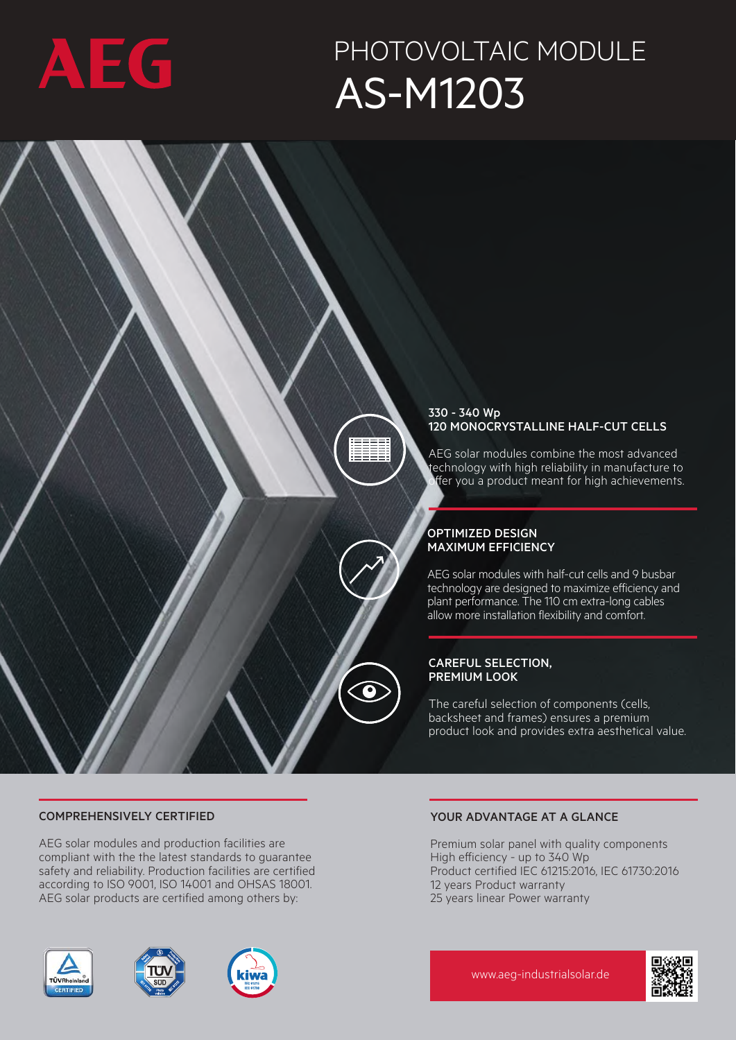

## PHOTOVOLTAIC MODULE AS-M1203



## COMPREHENSIVELY CERTIFIED

AEG solar modules and production facilities are compliant with the the latest standards to guarantee safety and reliability. Production facilities are certified according to ISO 9001, ISO 14001 and OHSAS 18001. AEG solar products are certified among others by:

## YOUR ADVANTAGE AT A GLANCE

Premium solar panel with quality components High efficiency - up to 340 Wp Product certified IEC 61215:2016, IEC 61730:2016 12 years Product warranty 25 years linear Power warranty







www.aeg-industrialsolar.de